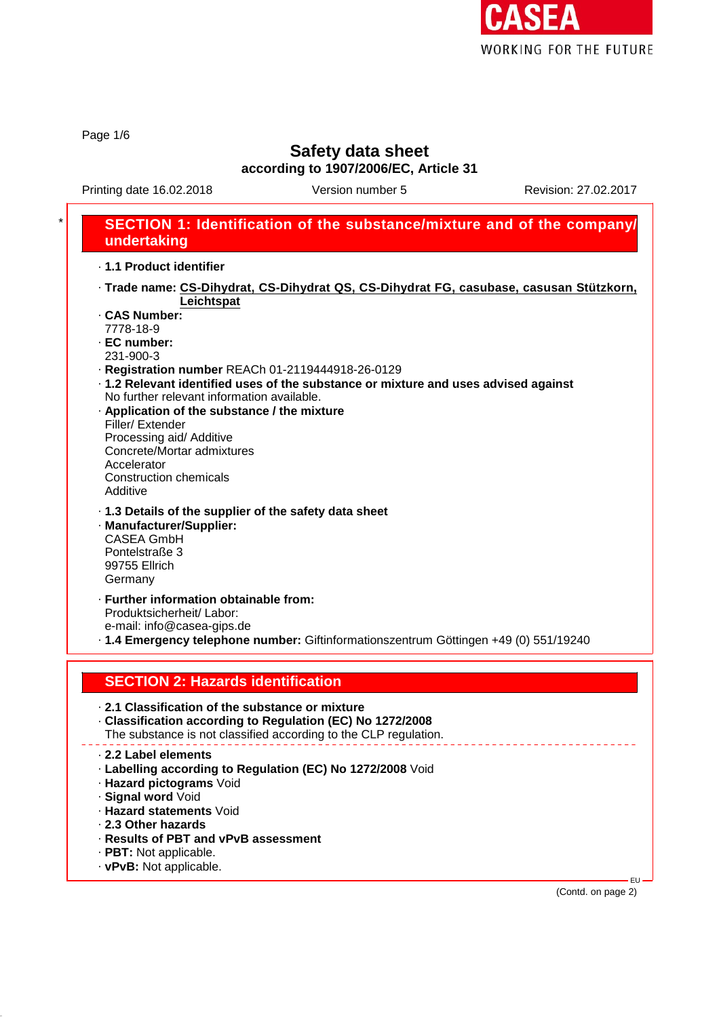

Page 1/6

# **Safety data sheet**

**according to 1907/2006/EC, Article 31**

Printing date 16.02.2018 Version number 5 Revision: 27.02.2017

#### \* **SECTION 1: Identification of the substance/mixture and of the company/ undertaking** · **1.1 Product identifier** · **Trade name: CS-Dihydrat, CS-Dihydrat QS, CS-Dihydrat FG, casubase, casusan Stützkorn, Leichtspat** · **CAS Number:** 7778-18-9 · **EC number:** 231-900-3 · **Registration number** REACh 01-2119444918-26-0129 · **1.2 Relevant identified uses of the substance or mixture and uses advised against** No further relevant information available. · **Application of the substance / the mixture** Filler/ Extender Processing aid/ Additive Concrete/Mortar admixtures Accelerator Construction chemicals Additive · **1.3 Details of the supplier of the safety data sheet** · **Manufacturer/Supplier:** CASEA GmbH Pontelstraße 3 99755 Ellrich Germany · **Further information obtainable from:** Produktsicherheit/ Labor: e-mail: info@casea-gips.de · **1.4 Emergency telephone number:** Giftinformationszentrum Göttingen +49 (0) 551/19240 **SECTION 2: Hazards identification** · **2.1 Classification of the substance or mixture** · **Classification according to Regulation (EC) No 1272/2008** The substance is not classified according to the CLP regulation. · **2.2 Label elements** · **Labelling according to Regulation (EC) No 1272/2008** Void · **Hazard pictograms** Void · **Signal word** Void · **Hazard statements** Void · **2.3 Other hazards** · **Results of PBT and vPvB assessment** · **PBT:** Not applicable. · **vPvB:** Not applicable.

(Contd. on page 2)

EU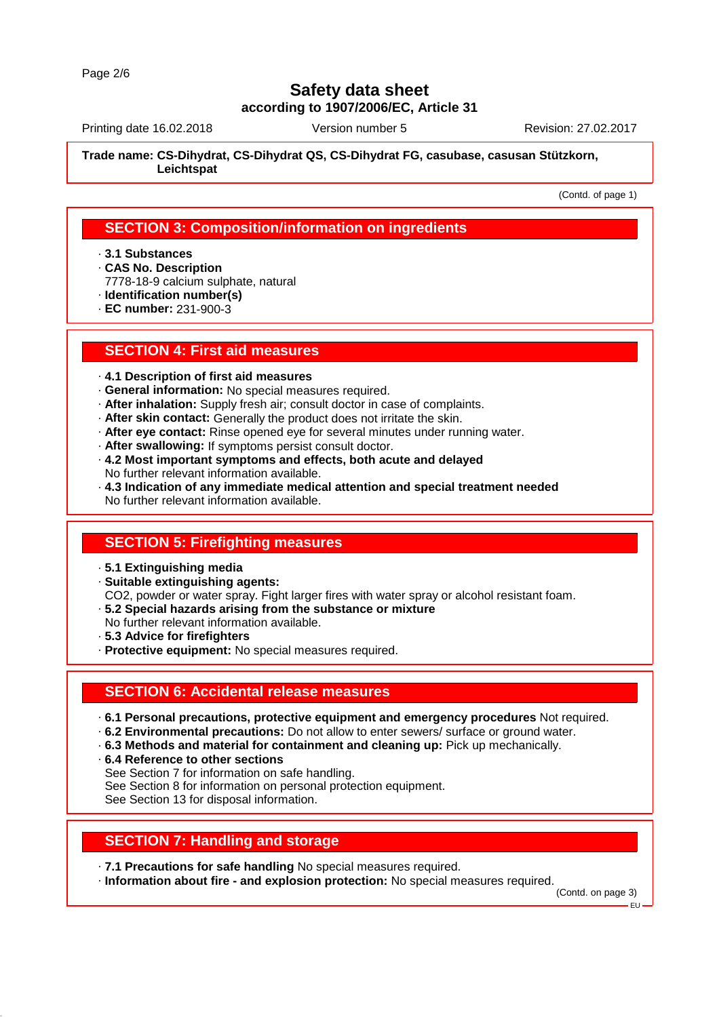Printing date 16.02.2018 Version number 5 Revision: 27.02.2017

**Trade name: CS-Dihydrat, CS-Dihydrat QS, CS-Dihydrat FG, casubase, casusan Stützkorn, Leichtspat**

(Contd. of page 1)

#### **SECTION 3: Composition/information on ingredients**

- · **3.1 Substances**
- · **CAS No. Description**
- 7778-18-9 calcium sulphate, natural
- · **Identification number(s)**
- · **EC number:** 231-900-3

#### **SECTION 4: First aid measures**

- · **4.1 Description of first aid measures**
- · **General information:** No special measures required.
- · **After inhalation:** Supply fresh air; consult doctor in case of complaints.
- · **After skin contact:** Generally the product does not irritate the skin.
- · **After eye contact:** Rinse opened eye for several minutes under running water.
- · **After swallowing:** If symptoms persist consult doctor.
- · **4.2 Most important symptoms and effects, both acute and delayed** No further relevant information available.
- · **4.3 Indication of any immediate medical attention and special treatment needed** No further relevant information available.

#### **SECTION 5: Firefighting measures**

- · **5.1 Extinguishing media**
- · **Suitable extinguishing agents:**
- CO2, powder or water spray. Fight larger fires with water spray or alcohol resistant foam.
- · **5.2 Special hazards arising from the substance or mixture**
- No further relevant information available. · **5.3 Advice for firefighters**
- 
- · **Protective equipment:** No special measures required.

#### **SECTION 6: Accidental release measures**

- · **6.1 Personal precautions, protective equipment and emergency procedures** Not required.
- · **6.2 Environmental precautions:** Do not allow to enter sewers/ surface or ground water.
- · **6.3 Methods and material for containment and cleaning up:** Pick up mechanically.
- · **6.4 Reference to other sections**
- See Section 7 for information on safe handling.
- See Section 8 for information on personal protection equipment.

See Section 13 for disposal information.

# **SECTION 7: Handling and storage**

- · **7.1 Precautions for safe handling** No special measures required.
- · **Information about fire and explosion protection:** No special measures required.

(Contd. on page 3)

EU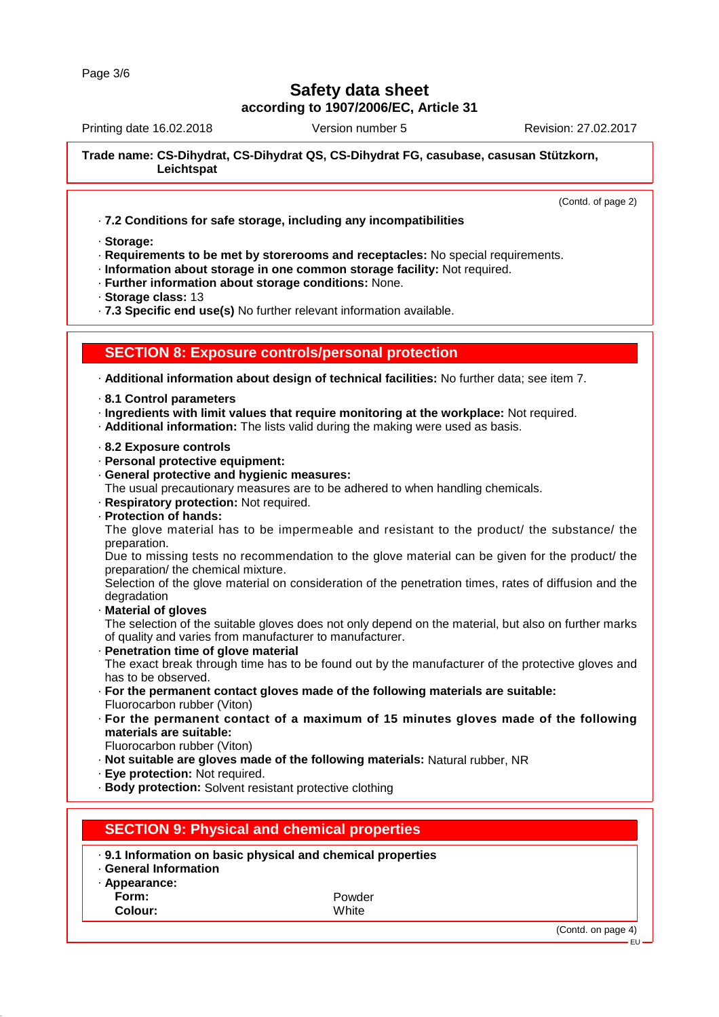Printing date 16.02.2018 Version number 5 Revision: 27.02.2017

**Trade name: CS-Dihydrat, CS-Dihydrat QS, CS-Dihydrat FG, casubase, casusan Stützkorn, Leichtspat**

(Contd. of page 2)

EU

· **7.2 Conditions for safe storage, including any incompatibilities**

· **Storage:**

· **Requirements to be met by storerooms and receptacles:** No special requirements.

· **Information about storage in one common storage facility:** Not required.

- · **Further information about storage conditions:** None.
- · **Storage class:** 13

· **7.3 Specific end use(s)** No further relevant information available.

#### **SECTION 8: Exposure controls/personal protection**

· **Additional information about design of technical facilities:** No further data; see item 7.

- · **8.1 Control parameters**
- · **Ingredients with limit values that require monitoring at the workplace:** Not required.
- · **Additional information:** The lists valid during the making were used as basis.
- · **8.2 Exposure controls**
- · **Personal protective equipment:**
- · **General protective and hygienic measures:**
- The usual precautionary measures are to be adhered to when handling chemicals.
- · **Respiratory protection:** Not required.
- · **Protection of hands:**

The glove material has to be impermeable and resistant to the product/ the substance/ the preparation.

Due to missing tests no recommendation to the glove material can be given for the product/ the preparation/ the chemical mixture.

Selection of the glove material on consideration of the penetration times, rates of diffusion and the degradation

· **Material of gloves**

The selection of the suitable gloves does not only depend on the material, but also on further marks of quality and varies from manufacturer to manufacturer.

· **Penetration time of glove material**

The exact break through time has to be found out by the manufacturer of the protective gloves and has to be observed.

- · **For the permanent contact gloves made of the following materials are suitable:** Fluorocarbon rubber (Viton)
- · **For the permanent contact of a maximum of 15 minutes gloves made of the following materials are suitable:**
- Fluorocarbon rubber (Viton)
- · **Not suitable are gloves made of the following materials:** Natural rubber, NR
- · **Eye protection:** Not required.
- · **Body protection:** Solvent resistant protective clothing

| <b>SECTION 9: Physical and chemical properties</b> |                                                             |                    |
|----------------------------------------------------|-------------------------------------------------------------|--------------------|
| · General Information<br>· Appearance:             | . 9.1 Information on basic physical and chemical properties |                    |
| Form:                                              | Powder                                                      |                    |
| Colour:                                            | White                                                       |                    |
|                                                    |                                                             | (Contd. on page 4) |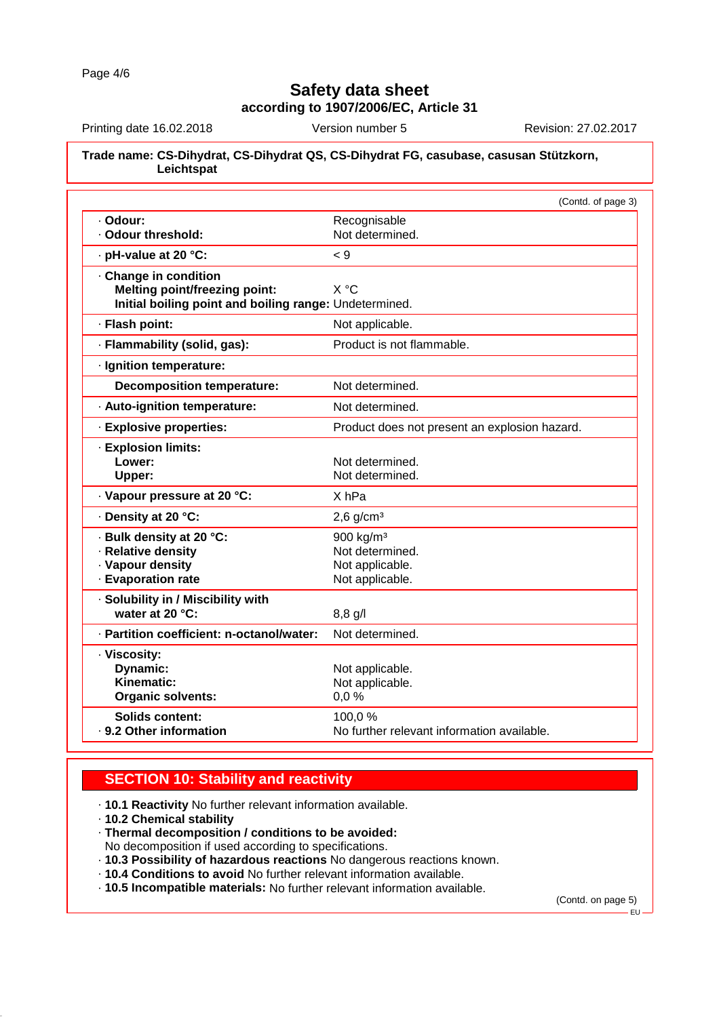Printing date 16.02.2018 Version number 5 Revision: 27.02.2017

#### **Trade name: CS-Dihydrat, CS-Dihydrat QS, CS-Dihydrat FG, casubase, casusan Stützkorn, Leichtspat**

|                                                        | (Contd. of page 3)                            |
|--------------------------------------------------------|-----------------------------------------------|
| · Odour:                                               | Recognisable                                  |
| · Odour threshold:                                     | Not determined.                               |
| · pH-value at 20 °C:                                   | 9 >                                           |
| Change in condition                                    |                                               |
| <b>Melting point/freezing point:</b>                   | X °C                                          |
| Initial boiling point and boiling range: Undetermined. |                                               |
| · Flash point:                                         | Not applicable.                               |
| · Flammability (solid, gas):                           | Product is not flammable.                     |
| · Ignition temperature:                                |                                               |
| <b>Decomposition temperature:</b>                      | Not determined.                               |
| · Auto-ignition temperature:                           | Not determined.                               |
| · Explosive properties:                                | Product does not present an explosion hazard. |
| · Explosion limits:                                    |                                               |
| Lower:                                                 | Not determined.                               |
| Upper:                                                 | Not determined.                               |
| · Vapour pressure at 20 °C:                            | X <sub>hPa</sub>                              |
| · Density at 20 °C:                                    | $2,6$ g/cm <sup>3</sup>                       |
| · Bulk density at 20 °C:                               | 900 kg/m <sup>3</sup>                         |
| · Relative density                                     | Not determined.                               |
| · Vapour density                                       | Not applicable.                               |
| · Evaporation rate                                     | Not applicable.                               |
| · Solubility in / Miscibility with                     |                                               |
| water at 20 °C:                                        | $8,8$ g/l                                     |
| · Partition coefficient: n-octanol/water:              | Not determined.                               |
| · Viscosity:                                           |                                               |
| Dynamic:                                               | Not applicable.                               |
| Kinematic:                                             | Not applicable.                               |
| <b>Organic solvents:</b>                               | 0,0%                                          |
| <b>Solids content:</b>                                 | 100,0%                                        |
| . 9.2 Other information                                | No further relevant information available.    |

## **SECTION 10: Stability and reactivity**

· **10.1 Reactivity** No further relevant information available.

- · **10.2 Chemical stability**
- · **Thermal decomposition / conditions to be avoided:**

No decomposition if used according to specifications.

- · **10.3 Possibility of hazardous reactions** No dangerous reactions known.
- · **10.4 Conditions to avoid** No further relevant information available.
- · **10.5 Incompatible materials:** No further relevant information available.

(Contd. on page 5)

EU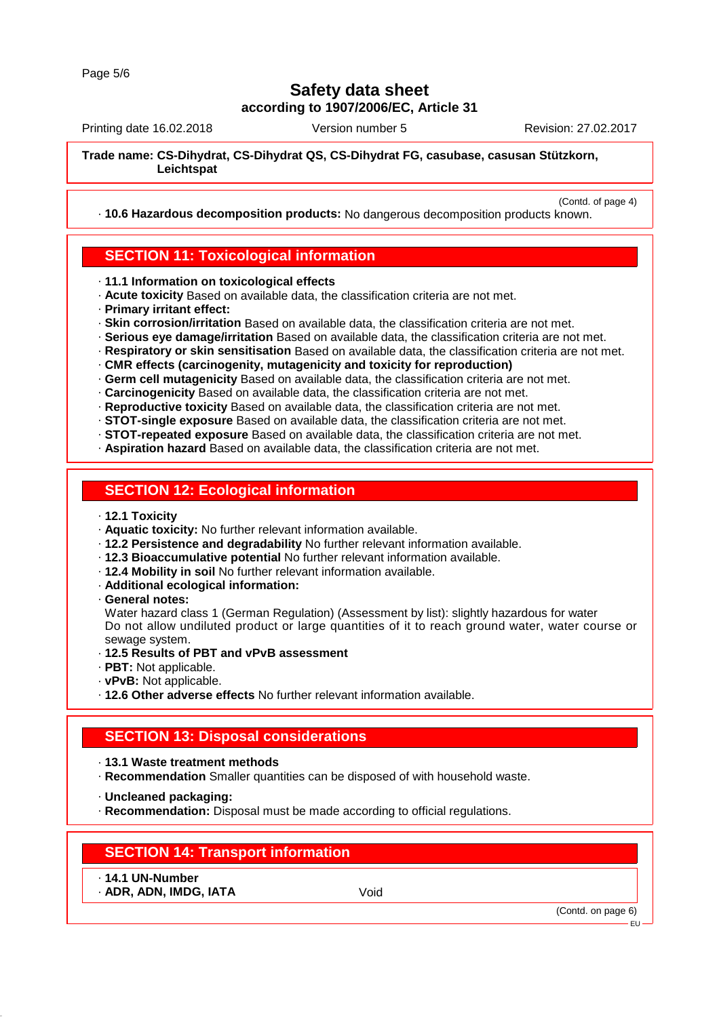Printing date 16.02.2018 Version number 5 Revision: 27.02.2017

(Contd. of page 4)

**Trade name: CS-Dihydrat, CS-Dihydrat QS, CS-Dihydrat FG, casubase, casusan Stützkorn, Leichtspat**

· **10.6 Hazardous decomposition products:** No dangerous decomposition products known.

#### **SECTION 11: Toxicological information**

· **11.1 Information on toxicological effects**

- · **Acute toxicity** Based on available data, the classification criteria are not met.
- · **Primary irritant effect:**
- · **Skin corrosion/irritation** Based on available data, the classification criteria are not met.
- · **Serious eye damage/irritation** Based on available data, the classification criteria are not met.
- · **Respiratory or skin sensitisation** Based on available data, the classification criteria are not met.

· **CMR effects (carcinogenity, mutagenicity and toxicity for reproduction)**

· **Germ cell mutagenicity** Based on available data, the classification criteria are not met.

· **Carcinogenicity** Based on available data, the classification criteria are not met.

· **Reproductive toxicity** Based on available data, the classification criteria are not met.

· **STOT-single exposure** Based on available data, the classification criteria are not met.

· **STOT-repeated exposure** Based on available data, the classification criteria are not met.

· **Aspiration hazard** Based on available data, the classification criteria are not met.

## **SECTION 12: Ecological information**

- · **12.1 Toxicity**
- · **Aquatic toxicity:** No further relevant information available.
- · **12.2 Persistence and degradability** No further relevant information available.
- · **12.3 Bioaccumulative potential** No further relevant information available.
- · **12.4 Mobility in soil** No further relevant information available.
- · **Additional ecological information:**
- · **General notes:**

Water hazard class 1 (German Regulation) (Assessment by list): slightly hazardous for water Do not allow undiluted product or large quantities of it to reach ground water, water course or sewage system.

- · **12.5 Results of PBT and vPvB assessment**
- · **PBT:** Not applicable.
- · **vPvB:** Not applicable.
- · **12.6 Other adverse effects** No further relevant information available.

## **SECTION 13: Disposal considerations**

- · **13.1 Waste treatment methods**
- · **Recommendation** Smaller quantities can be disposed of with household waste.
- · **Uncleaned packaging:**
- · **Recommendation:** Disposal must be made according to official regulations.

## **SECTION 14: Transport information**

- · **14.1 UN-Number**
- · **ADR, ADN, IMDG, IATA** Void

(Contd. on page 6)

EU